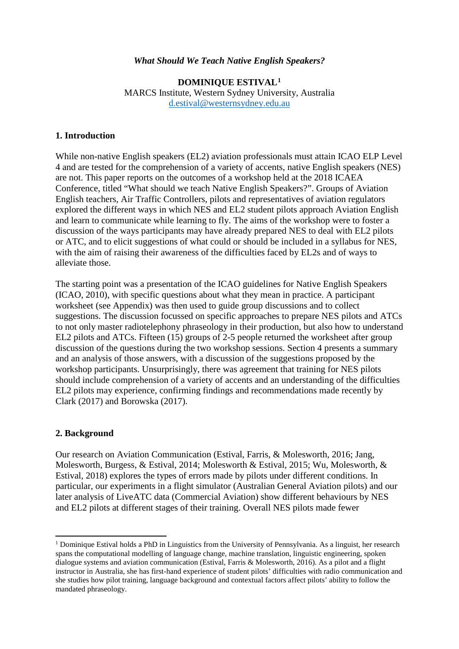#### *What Should We Teach Native English Speakers?*

**DOMINIQUE ESTIVAL[1](#page-0-0)** MARCS Institute, Western Sydney University, Australia [d.estival@westernsydney.edu.au](mailto:d.estival@westernsydney.edu.au)

#### **1. Introduction**

While non-native English speakers (EL2) aviation professionals must attain ICAO ELP Level 4 and are tested for the comprehension of a variety of accents, native English speakers (NES) are not. This paper reports on the outcomes of a workshop held at the 2018 ICAEA Conference, titled "What should we teach Native English Speakers?". Groups of Aviation English teachers, Air Traffic Controllers, pilots and representatives of aviation regulators explored the different ways in which NES and EL2 student pilots approach Aviation English and learn to communicate while learning to fly. The aims of the workshop were to foster a discussion of the ways participants may have already prepared NES to deal with EL2 pilots or ATC, and to elicit suggestions of what could or should be included in a syllabus for NES, with the aim of raising their awareness of the difficulties faced by EL2s and of ways to alleviate those.

The starting point was a presentation of the ICAO guidelines for Native English Speakers (ICAO, 2010), with specific questions about what they mean in practice. A participant worksheet (see Appendix) was then used to guide group discussions and to collect suggestions. The discussion focussed on specific approaches to prepare NES pilots and ATCs to not only master radiotelephony phraseology in their production, but also how to understand EL2 pilots and ATCs. Fifteen (15) groups of 2-5 people returned the worksheet after group discussion of the questions during the two workshop sessions. Section 4 presents a summary and an analysis of those answers, with a discussion of the suggestions proposed by the workshop participants. Unsurprisingly, there was agreement that training for NES pilots should include comprehension of a variety of accents and an understanding of the difficulties EL2 pilots may experience, confirming findings and recommendations made recently by Clark (2017) and Borowska (2017).

#### **2. Background**

 $\overline{\phantom{a}}$ 

Our research on Aviation Communication (Estival, Farris, & Molesworth, 2016; Jang, Molesworth, Burgess, & Estival, 2014; Molesworth & Estival, 2015; Wu, Molesworth, & Estival, 2018) explores the types of errors made by pilots under different conditions. In particular, our experiments in a flight simulator (Australian General Aviation pilots) and our later analysis of LiveATC data (Commercial Aviation) show different behaviours by NES and EL2 pilots at different stages of their training. Overall NES pilots made fewer

<span id="page-0-0"></span><sup>&</sup>lt;sup>1</sup> Dominique Estival holds a PhD in Linguistics from the University of Pennsylvania. As a linguist, her research spans the computational modelling of language change, machine translation, linguistic engineering, spoken dialogue systems and aviation communication (Estival, Farris & Molesworth, 2016). As a pilot and a flight instructor in Australia, she has first-hand experience of student pilots' difficulties with radio communication and she studies how pilot training, language background and contextual factors affect pilots' ability to follow the mandated phraseology.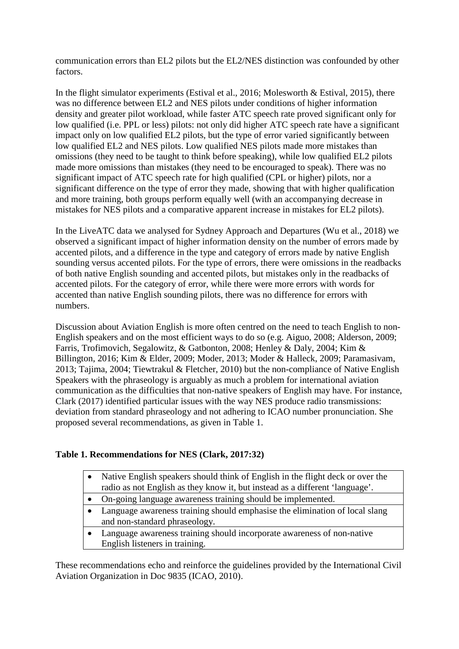communication errors than EL2 pilots but the EL2/NES distinction was confounded by other factors.

In the flight simulator experiments (Estival et al., 2016; Molesworth  $\&$  Estival, 2015), there was no difference between EL2 and NES pilots under conditions of higher information density and greater pilot workload, while faster ATC speech rate proved significant only for low qualified (i.e. PPL or less) pilots: not only did higher ATC speech rate have a significant impact only on low qualified EL2 pilots, but the type of error varied significantly between low qualified EL2 and NES pilots. Low qualified NES pilots made more mistakes than omissions (they need to be taught to think before speaking), while low qualified EL2 pilots made more omissions than mistakes (they need to be encouraged to speak). There was no significant impact of ATC speech rate for high qualified (CPL or higher) pilots, nor a significant difference on the type of error they made, showing that with higher qualification and more training, both groups perform equally well (with an accompanying decrease in mistakes for NES pilots and a comparative apparent increase in mistakes for EL2 pilots).

In the LiveATC data we analysed for Sydney Approach and Departures (Wu et al., 2018) we observed a significant impact of higher information density on the number of errors made by accented pilots, and a difference in the type and category of errors made by native English sounding versus accented pilots. For the type of errors, there were omissions in the readbacks of both native English sounding and accented pilots, but mistakes only in the readbacks of accented pilots. For the category of error, while there were more errors with words for accented than native English sounding pilots, there was no difference for errors with numbers.

Discussion about Aviation English is more often centred on the need to teach English to non-English speakers and on the most efficient ways to do so (e.g. Aiguo, 2008; Alderson, 2009; Farris, Trofimovich, Segalowitz, & Gatbonton, 2008; Henley & Daly, 2004; Kim & Billington, 2016; Kim & Elder, 2009; Moder, 2013; Moder & Halleck, 2009; Paramasivam, 2013; Tajima, 2004; Tiewtrakul & Fletcher, 2010) but the non-compliance of Native English Speakers with the phraseology is arguably as much a problem for international aviation communication as the difficulties that non-native speakers of English may have. For instance, Clark (2017) identified particular issues with the way NES produce radio transmissions: deviation from standard phraseology and not adhering to ICAO number pronunciation. She proposed several recommendations, as given in Table 1.

## **Table 1. Recommendations for NES (Clark, 2017:32)**

- Native English speakers should think of English in the flight deck or over the radio as not English as they know it, but instead as a different 'language'.
- On-going language awareness training should be implemented.
- Language awareness training should emphasise the elimination of local slang and non-standard phraseology.
- Language awareness training should incorporate awareness of non-native English listeners in training.

These recommendations echo and reinforce the guidelines provided by the International Civil Aviation Organization in Doc 9835 (ICAO, 2010).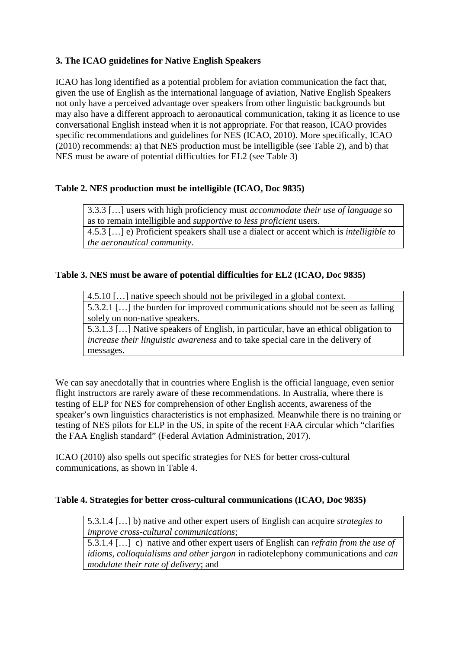# **3. The ICAO guidelines for Native English Speakers**

ICAO has long identified as a potential problem for aviation communication the fact that, given the use of English as the international language of aviation, Native English Speakers not only have a perceived advantage over speakers from other linguistic backgrounds but may also have a different approach to aeronautical communication, taking it as licence to use conversational English instead when it is not appropriate. For that reason, ICAO provides specific recommendations and guidelines for NES (ICAO, 2010). More specifically, ICAO (2010) recommends: a) that NES production must be intelligible (see Table 2), and b) that NES must be aware of potential difficulties for EL2 (see Table 3)

## **Table 2. NES production must be intelligible (ICAO, Doc 9835)**

3.3.3 […] users with high proficiency must *accommodate their use of language* so as to remain intelligible and *supportive to less proficient* users. 4.5.3 […] e) Proficient speakers shall use a dialect or accent which is *intelligible to the aeronautical community*.

## **Table 3. NES must be aware of potential difficulties for EL2 (ICAO, Doc 9835)**

4.5.10 […] native speech should not be privileged in a global context. 5.3.2.1 […] the burden for improved communications should not be seen as falling solely on non-native speakers.

5.3.1.3 […] Native speakers of English, in particular, have an ethical obligation to *increase their linguistic awareness* and to take special care in the delivery of messages.

We can say anecdotally that in countries where English is the official language, even senior flight instructors are rarely aware of these recommendations. In Australia, where there is testing of ELP for NES for comprehension of other English accents, awareness of the speaker's own linguistics characteristics is not emphasized. Meanwhile there is no training or testing of NES pilots for ELP in the US, in spite of the recent FAA circular which "clarifies the FAA English standard" (Federal Aviation Administration, 2017).

ICAO (2010) also spells out specific strategies for NES for better cross-cultural communications, as shown in Table 4.

## **Table 4. Strategies for better cross-cultural communications (ICAO, Doc 9835)**

5.3.1.4 […] b) native and other expert users of English can acquire *strategies to improve cross-cultural communications*;

5.3.1.4 […] c) native and other expert users of English can *refrain from the use of idioms, colloquialisms and other jargon* in radiotelephony communications and *can modulate their rate of delivery*; and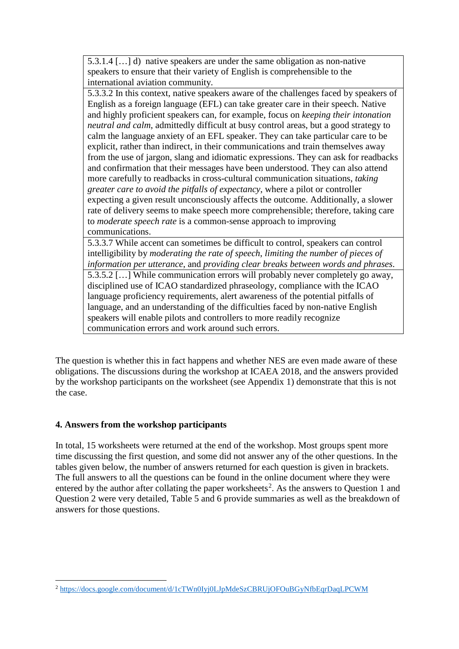5.3.1.4 […] d) native speakers are under the same obligation as non-native speakers to ensure that their variety of English is comprehensible to the international aviation community.

5.3.3.2 In this context, native speakers aware of the challenges faced by speakers of English as a foreign language (EFL) can take greater care in their speech. Native and highly proficient speakers can, for example, focus on *keeping their intonation neutral and calm*, admittedly difficult at busy control areas, but a good strategy to calm the language anxiety of an EFL speaker. They can take particular care to be explicit, rather than indirect, in their communications and train themselves away from the use of jargon, slang and idiomatic expressions. They can ask for readbacks and confirmation that their messages have been understood. They can also attend more carefully to readbacks in cross-cultural communication situations, *taking greater care to avoid the pitfalls of expectancy*, where a pilot or controller expecting a given result unconsciously affects the outcome. Additionally, a slower rate of delivery seems to make speech more comprehensible; therefore, taking care to *moderate speech rate* is a common-sense approach to improving communications.

5.3.3.7 While accent can sometimes be difficult to control, speakers can control intelligibility by *moderating the rate of speech*, *limiting the number of pieces of information per utterance*, and *providing clear breaks between words and phrases*. 5.3.5.2 […] While communication errors will probably never completely go away, disciplined use of ICAO standardized phraseology, compliance with the ICAO language proficiency requirements, alert awareness of the potential pitfalls of language, and an understanding of the difficulties faced by non-native English speakers will enable pilots and controllers to more readily recognize communication errors and work around such errors.

The question is whether this in fact happens and whether NES are even made aware of these obligations. The discussions during the workshop at ICAEA 2018, and the answers provided by the workshop participants on the worksheet (see Appendix 1) demonstrate that this is not the case.

## **4. Answers from the workshop participants**

In total, 15 worksheets were returned at the end of the workshop. Most groups spent more time discussing the first question, and some did not answer any of the other questions. In the tables given below, the number of answers returned for each question is given in brackets. The full answers to all the questions can be found in the online document where they were entered by the author after collating the paper worksheets<sup>[2](#page-3-0)</sup>. As the answers to Question 1 and Question 2 were very detailed, Table 5 and 6 provide summaries as well as the breakdown of answers for those questions.

<span id="page-3-0"></span>**<sup>.</sup>** <sup>2</sup> <https://docs.google.com/document/d/1cTWn0Iyj0LJpMdeSzCBRUjOFOuBGyNfbEqrDaqLPCWM>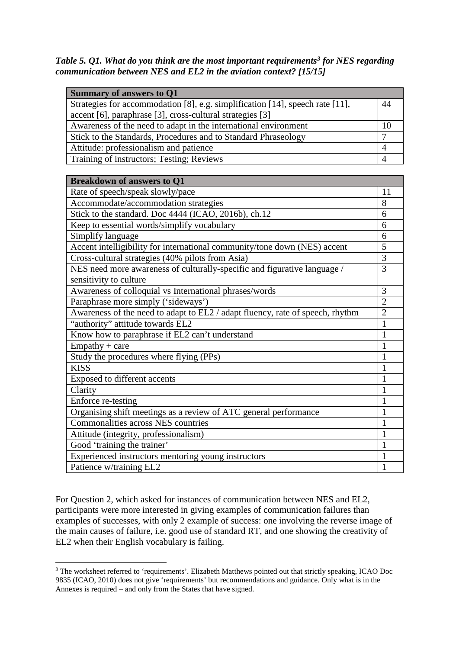*Table 5. Q1. What do you think are the most important requirements[3](#page-4-0) for NES regarding communication between NES and EL2 in the aviation context? [15/15]*

| <b>Summary of answers to Q1</b>                                               |                |
|-------------------------------------------------------------------------------|----------------|
| Strategies for accommodation [8], e.g. simplification [14], speech rate [11], | 44             |
| accent [6], paraphrase [3], cross-cultural strategies [3]                     |                |
| Awareness of the need to adapt in the international environment               | 10             |
| Stick to the Standards, Procedures and to Standard Phraseology                | $\overline{7}$ |
| Attitude: professionalism and patience                                        | $\overline{4}$ |
| Training of instructors; Testing; Reviews                                     | $\overline{4}$ |
|                                                                               |                |
| <b>Breakdown of answers to O1</b>                                             |                |
| Rate of speech/speak slowly/pace                                              | 11             |
| Accommodate/accommodation strategies                                          | 8              |
| Stick to the standard. Doc 4444 (ICAO, 2016b), ch.12                          | 6              |
| Keep to essential words/simplify vocabulary                                   | 6              |
| Simplify language                                                             | 6              |
| Accent intelligibility for international community/tone down (NES) accent     | 5              |
| Cross-cultural strategies (40% pilots from Asia)                              | $\overline{3}$ |
| NES need more awareness of culturally-specific and figurative language /      | $\overline{3}$ |
| sensitivity to culture                                                        |                |
| Awareness of colloquial vs International phrases/words                        | 3              |
| Paraphrase more simply ('sideways')                                           | $\overline{2}$ |
| Awareness of the need to adapt to EL2 / adapt fluency, rate of speech, rhythm | $\overline{2}$ |
| "authority" attitude towards EL2                                              | $\mathbf{1}$   |
| Know how to paraphrase if EL2 can't understand                                | $\mathbf{1}$   |
| $Empathy + care$                                                              | $\mathbf{1}$   |
| Study the procedures where flying (PPs)                                       | $\mathbf{1}$   |
| <b>KISS</b>                                                                   | 1              |
| Exposed to different accents                                                  | 1              |
| Clarity                                                                       | 1              |
| Enforce re-testing                                                            | $\mathbf{1}$   |
| Organising shift meetings as a review of ATC general performance              | $\mathbf{1}$   |
| Commonalities across NES countries                                            | $\mathbf{1}$   |
| Attitude (integrity, professionalism)                                         | 1              |
| Good 'training the trainer'                                                   | 1              |
| Experienced instructors mentoring young instructors                           | $\mathbf{1}$   |
| Patience w/training EL2                                                       | $\mathbf{1}$   |

For Question 2, which asked for instances of communication between NES and EL2, participants were more interested in giving examples of communication failures than examples of successes, with only 2 example of success: one involving the reverse image of the main causes of failure, i.e. good use of standard RT, and one showing the creativity of EL2 when their English vocabulary is failing.

 $\overline{\phantom{a}}$ 

<span id="page-4-0"></span><sup>&</sup>lt;sup>3</sup> The worksheet referred to 'requirements'. Elizabeth Matthews pointed out that strictly speaking, ICAO Doc 9835 (ICAO, 2010) does not give 'requirements' but recommendations and guidance. Only what is in the Annexes is required – and only from the States that have signed.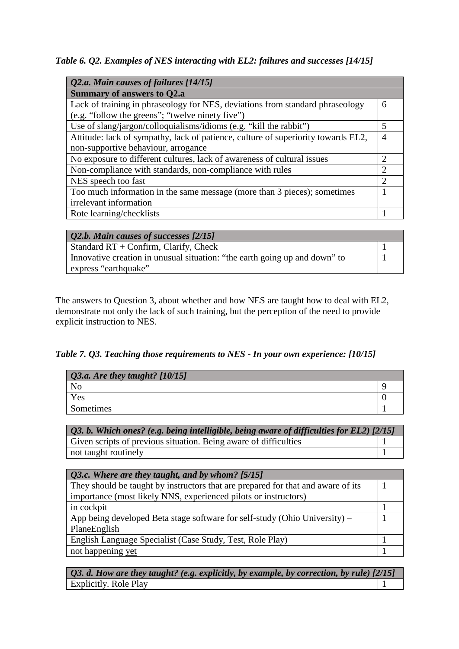*Table 6. Q2. Examples of NES interacting with EL2: failures and successes [14/15]*

| Q2.a. Main causes of failures [14/15]                                             |                             |
|-----------------------------------------------------------------------------------|-----------------------------|
| <b>Summary of answers to Q2.a</b>                                                 |                             |
| Lack of training in phraseology for NES, deviations from standard phraseology     | 6                           |
| (e.g. "follow the greens"; "twelve ninety five")                                  |                             |
| Use of slang/jargon/colloquialisms/idioms (e.g. "kill the rabbit")                | 5                           |
| Attitude: lack of sympathy, lack of patience, culture of superiority towards EL2, | 4                           |
| non-supportive behaviour, arrogance                                               |                             |
| No exposure to different cultures, lack of awareness of cultural issues           | $\mathcal{D}_{\mathcal{L}}$ |
| Non-compliance with standards, non-compliance with rules                          | $\mathcal{D}$               |
| NES speech too fast                                                               | $\mathcal{D}$               |
| Too much information in the same message (more than 3 pieces); sometimes          |                             |
| irrelevant information                                                            |                             |
| Rote learning/checklists                                                          |                             |

| <b>Q2.b. Main causes of successes [2/15]</b>                               |  |
|----------------------------------------------------------------------------|--|
| Standard $RT +$ Confirm, Clarify, Check                                    |  |
| Innovative creation in unusual situation: "the earth going up and down" to |  |
| express "earthquake"                                                       |  |

The answers to Question 3, about whether and how NES are taught how to deal with EL2, demonstrate not only the lack of such training, but the perception of the need to provide explicit instruction to NES.

*Table 7. Q3. Teaching those requirements to NES - In your own experience: [10/15]*

| $Q3.a.$ Are they taught? $[10/15]$ |  |
|------------------------------------|--|
|                                    |  |
| Yes                                |  |
| Sometimes                          |  |

| $\vert$ Q3. b. Which ones? (e.g. being intelligible, being aware of difficulties for EL2) [2/15] |  |
|--------------------------------------------------------------------------------------------------|--|
| Given scripts of previous situation. Being aware of difficulties                                 |  |
| not taught routinely                                                                             |  |

| Q3.c. Where are they taught, and by whom? [5/15]                                 |  |
|----------------------------------------------------------------------------------|--|
| They should be taught by instructors that are prepared for that and aware of its |  |
| importance (most likely NNS, experienced pilots or instructors)                  |  |
| in cockpit                                                                       |  |
| App being developed Beta stage software for self-study (Ohio University) –       |  |
| PlaneEnglish                                                                     |  |
| English Language Specialist (Case Study, Test, Role Play)                        |  |
| not happening yet                                                                |  |

*Q3. d. How are they taught? (e.g. explicitly, by example, by correction, by rule) [2/15]* Explicitly. Role Play 1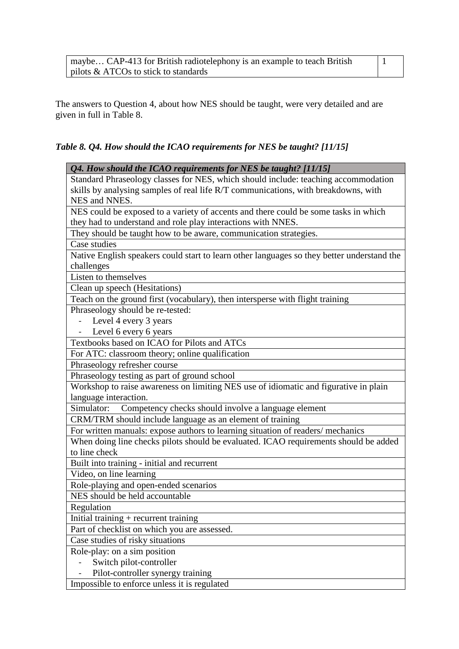| maybe CAP-413 for British radiotelephony is an example to teach British |  |
|-------------------------------------------------------------------------|--|
| $\vert$ pilots & ATCOs to stick to standards                            |  |

The answers to Question 4, about how NES should be taught, were very detailed and are given in full in Table 8.

# *Table 8. Q4. How should the ICAO requirements for NES be taught? [11/15]*

| Q4. How should the ICAO requirements for NES be taught? [11/15]                                       |
|-------------------------------------------------------------------------------------------------------|
| Standard Phraseology classes for NES, which should include: teaching accommodation                    |
| skills by analysing samples of real life R/T communications, with breakdowns, with                    |
| NES and NNES.                                                                                         |
| NES could be exposed to a variety of accents and there could be some tasks in which                   |
| they had to understand and role play interactions with NNES.                                          |
| They should be taught how to be aware, communication strategies.                                      |
| Case studies                                                                                          |
| Native English speakers could start to learn other languages so they better understand the            |
| challenges                                                                                            |
| Listen to themselves                                                                                  |
| Clean up speech (Hesitations)                                                                         |
| Teach on the ground first (vocabulary), then intersperse with flight training                         |
| Phraseology should be re-tested:                                                                      |
| Level 4 every 3 years                                                                                 |
| Level 6 every 6 years                                                                                 |
| Textbooks based on ICAO for Pilots and ATCs                                                           |
| For ATC: classroom theory; online qualification                                                       |
| Phraseology refresher course                                                                          |
| Phraseology testing as part of ground school                                                          |
| Workshop to raise awareness on limiting NES use of idiomatic and figurative in plain                  |
| language interaction.                                                                                 |
| Competency checks should involve a language element<br>Simulator:                                     |
| CRM/TRM should include language as an element of training                                             |
| For written manuals: expose authors to learning situation of readers/mechanics                        |
| When doing line checks pilots should be evaluated. ICAO requirements should be added<br>to line check |
| Built into training - initial and recurrent                                                           |
| Video, on line learning                                                                               |
| Role-playing and open-ended scenarios                                                                 |
| NES should be held accountable                                                                        |
| Regulation                                                                                            |
| Initial training $+$ recurrent training                                                               |
| Part of checklist on which you are assessed.                                                          |
| Case studies of risky situations                                                                      |
| Role-play: on a simposition                                                                           |
| Switch pilot-controller                                                                               |
| Pilot-controller synergy training                                                                     |
| Impossible to enforce unless it is regulated                                                          |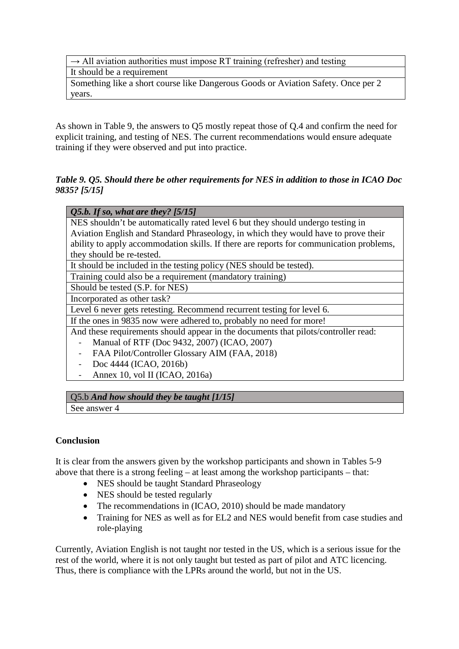$\rightarrow$  All aviation authorities must impose RT training (refresher) and testing It should be a requirement Something like a short course like Dangerous Goods or Aviation Safety. Once per 2 years.

As shown in Table 9, the answers to Q5 mostly repeat those of Q.4 and confirm the need for explicit training, and testing of NES. The current recommendations would ensure adequate training if they were observed and put into practice.

## *Table 9. Q5. Should there be other requirements for NES in addition to those in ICAO Doc 9835? [5/15]*

## *Q5.b. If so, what are they? [5/15]*

NES shouldn't be automatically rated level 6 but they should undergo testing in Aviation English and Standard Phraseology, in which they would have to prove their ability to apply accommodation skills. If there are reports for communication problems, they should be re-tested.

It should be included in the testing policy (NES should be tested).

Training could also be a requirement (mandatory training)

Should be tested (S.P. for NES)

Incorporated as other task?

Level 6 never gets retesting. Recommend recurrent testing for level 6.

If the ones in 9835 now were adhered to, probably no need for more!

And these requirements should appear in the documents that pilots/controller read:

- Manual of RTF (Doc 9432, 2007) (ICAO, 2007)
- FAA Pilot/Controller Glossary AIM (FAA, 2018)
- Doc 4444 (ICAO, 2016b)
- Annex 10, vol II (ICAO, 2016a)

## Q5.b *And how should they be taught [1/15]*

See answer 4

## **Conclusion**

It is clear from the answers given by the workshop participants and shown in Tables 5-9 above that there is a strong feeling – at least among the workshop participants – that:

- NES should be taught Standard Phraseology
- NES should be tested regularly
- The recommendations in (ICAO, 2010) should be made mandatory
- Training for NES as well as for EL2 and NES would benefit from case studies and role-playing

Currently, Aviation English is not taught nor tested in the US, which is a serious issue for the rest of the world, where it is not only taught but tested as part of pilot and ATC licencing. Thus, there is compliance with the LPRs around the world, but not in the US.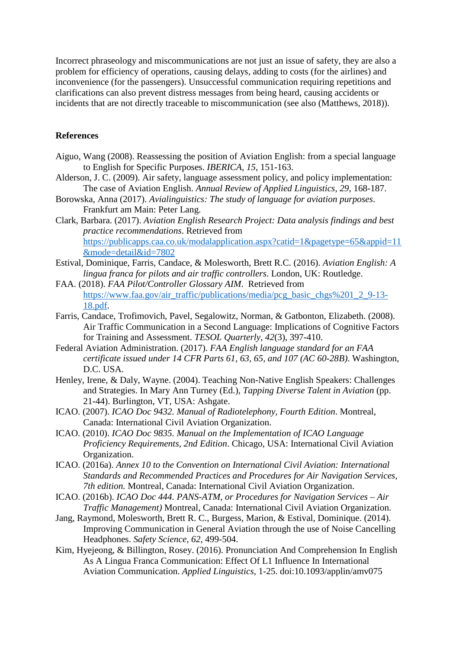Incorrect phraseology and miscommunications are not just an issue of safety, they are also a problem for efficiency of operations, causing delays, adding to costs (for the airlines) and inconvenience (for the passengers). Unsuccessful communication requiring repetitions and clarifications can also prevent distress messages from being heard, causing accidents or incidents that are not directly traceable to miscommunication (see also (Matthews, 2018)).

#### **References**

- Aiguo, Wang (2008). Reassessing the position of Aviation English: from a special language to English for Specific Purposes. *IBERICA, 15*, 151-163.
- Alderson, J. C. (2009). Air safety, language assessment policy, and policy implementation: The case of Aviation English. *Annual Review of Applied Linguistics, 29*, 168-187.
- Borowska, Anna (2017). *Avialinguistics: The study of language for aviation purposes*. Frankfurt am Main: Peter Lang.
- Clark, Barbara. (2017). *Aviation English Research Project: Data analysis findings and best practice recommendations*. Retrieved from [https://publicapps.caa.co.uk/modalapplication.aspx?catid=1&pagetype=65&appid=11](https://publicapps.caa.co.uk/modalapplication.aspx?catid=1&pagetype=65&appid=11&mode=detail&id=7802) [&mode=detail&id=7802](https://publicapps.caa.co.uk/modalapplication.aspx?catid=1&pagetype=65&appid=11&mode=detail&id=7802)
- Estival, Dominique, Farris, Candace, & Molesworth, Brett R.C. (2016). *Aviation English: A lingua franca for pilots and air traffic controllers*. London, UK: Routledge.
- FAA. (2018). *FAA Pilot/Controller Glossary AIM*. Retrieved from [https://www.faa.gov/air\\_traffic/publications/media/pcg\\_basic\\_chgs%201\\_2\\_9-13-](https://www.faa.gov/air_traffic/publications/media/pcg_basic_chgs%201_2_9-13-18.pdf) [18.pdf.](https://www.faa.gov/air_traffic/publications/media/pcg_basic_chgs%201_2_9-13-18.pdf)
- Farris, Candace, Trofimovich, Pavel, Segalowitz, Norman, & Gatbonton, Elizabeth. (2008). Air Traffic Communication in a Second Language: Implications of Cognitive Factors for Training and Assessment. *TESOL Quarterly, 42*(3), 397-410.
- Federal Aviation Administration. (2017). *FAA English language standard for an FAA certificate issued under 14 CFR Parts 61, 63, 65, and 107 (AC 60-28B)*. Washington, D.C. USA.
- Henley, Irene, & Daly, Wayne. (2004). Teaching Non-Native English Speakers: Challenges and Strategies. In Mary Ann Turney (Ed.), *Tapping Diverse Talent in Aviation* (pp. 21-44). Burlington, VT, USA: Ashgate.
- ICAO. (2007). *ICAO Doc 9432. Manual of Radiotelephony, Fourth Edition*. Montreal, Canada: International Civil Aviation Organization.
- ICAO. (2010). *ICAO Doc 9835. Manual on the Implementation of ICAO Language Proficiency Requirements, 2nd Edition*. Chicago, USA: International Civil Aviation Organization.
- ICAO. (2016a). *Annex 10 to the Convention on International Civil Aviation: International Standards and Recommended Practices and Procedures for Air Navigation Services, 7th edition.* Montreal, Canada: International Civil Aviation Organization.
- ICAO. (2016b). *ICAO Doc 444. PANS-ATM, or Procedures for Navigation Services – Air Traffic Management)* Montreal, Canada: International Civil Aviation Organization.
- Jang, Raymond, Molesworth, Brett R. C., Burgess, Marion, & Estival, Dominique. (2014). Improving Communication in General Aviation through the use of Noise Cancelling Headphones. *Safety Science, 62*, 499-504.
- Kim, Hyejeong, & Billington, Rosey. (2016). Pronunciation And Comprehension In English As A Lingua Franca Communication: Effect Of L1 Influence In International Aviation Communication. *Applied Linguistics*, 1-25. doi:10.1093/applin/amv075